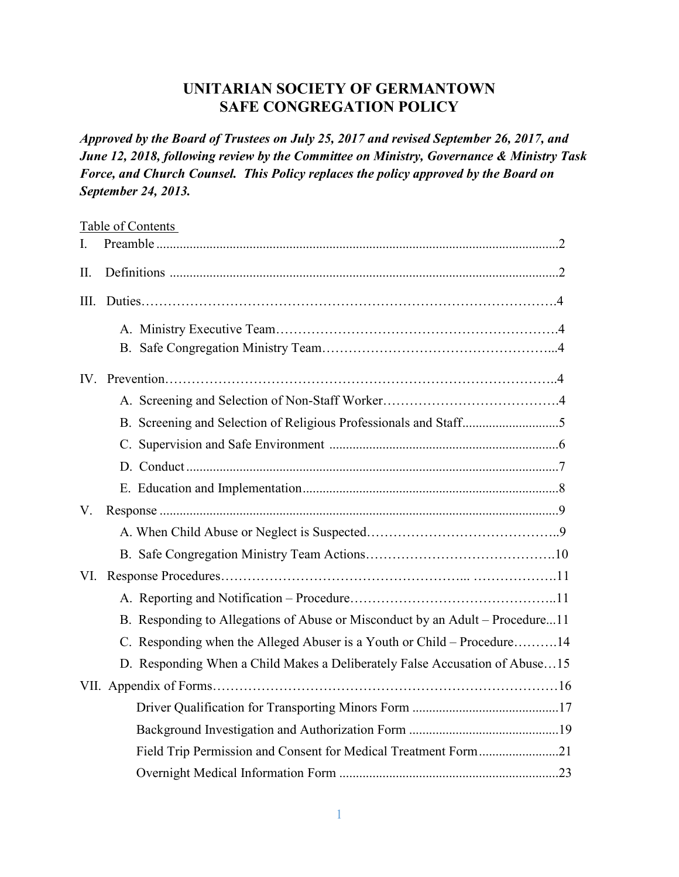## **UNITARIAN SOCIETY OF GERMANTOWN SAFE CONGREGATION POLICY**

*Approved by the Board of Trustees on July 25, 2017 and revised September 26, 2017, and June 12, 2018, following review by the Committee on Ministry, Governance & Ministry Task Force, and Church Counsel. This Policy replaces the policy approved by the Board on September 24, 2013.* 

|      | Table of Contents                                                             |
|------|-------------------------------------------------------------------------------|
| L.   |                                                                               |
| II.  |                                                                               |
| III. |                                                                               |
|      |                                                                               |
|      |                                                                               |
|      |                                                                               |
|      |                                                                               |
|      |                                                                               |
|      |                                                                               |
|      |                                                                               |
|      |                                                                               |
| V.   |                                                                               |
|      |                                                                               |
|      |                                                                               |
| VI.  |                                                                               |
|      |                                                                               |
|      | B. Responding to Allegations of Abuse or Misconduct by an Adult – Procedure11 |
|      | C. Responding when the Alleged Abuser is a Youth or Child – Procedure14       |
|      | D. Responding When a Child Makes a Deliberately False Accusation of Abuse15   |
|      |                                                                               |
|      |                                                                               |
|      |                                                                               |
|      | Field Trip Permission and Consent for Medical Treatment Form21                |
|      |                                                                               |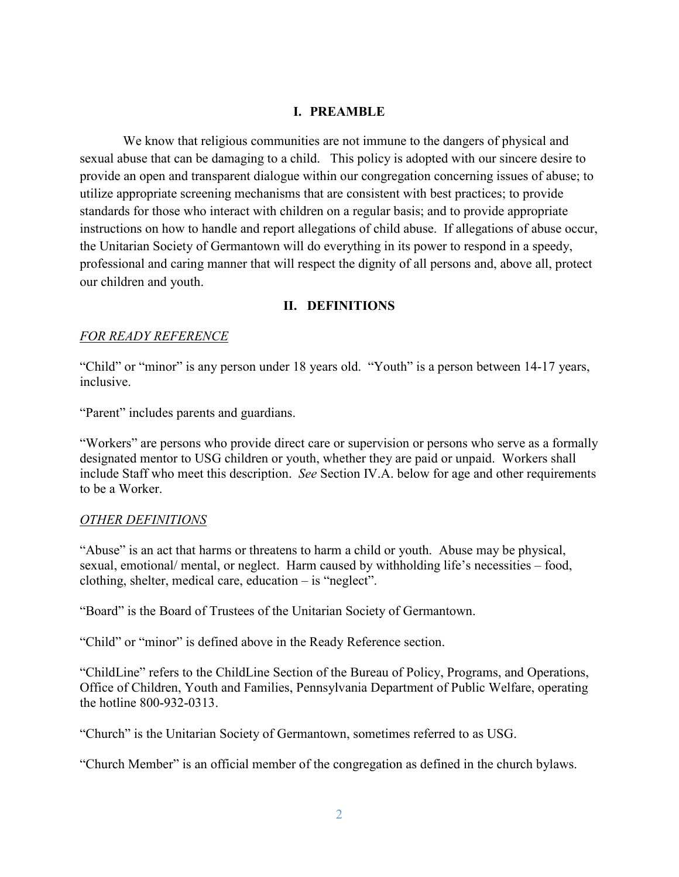#### **I. PREAMBLE**

 We know that religious communities are not immune to the dangers of physical and sexual abuse that can be damaging to a child. This policy is adopted with our sincere desire to provide an open and transparent dialogue within our congregation concerning issues of abuse; to utilize appropriate screening mechanisms that are consistent with best practices; to provide standards for those who interact with children on a regular basis; and to provide appropriate instructions on how to handle and report allegations of child abuse. If allegations of abuse occur, the Unitarian Society of Germantown will do everything in its power to respond in a speedy, professional and caring manner that will respect the dignity of all persons and, above all, protect our children and youth.

#### **II. DEFINITIONS**

#### *FOR READY REFERENCE*

"Child" or "minor" is any person under 18 years old. "Youth" is a person between 14-17 years, inclusive.

"Parent" includes parents and guardians.

"Workers" are persons who provide direct care or supervision or persons who serve as a formally designated mentor to USG children or youth, whether they are paid or unpaid. Workers shall include Staff who meet this description. *See* Section IV.A. below for age and other requirements to be a Worker.

#### *OTHER DEFINITIONS*

"Abuse" is an act that harms or threatens to harm a child or youth. Abuse may be physical, sexual, emotional/ mental, or neglect. Harm caused by withholding life's necessities – food, clothing, shelter, medical care, education – is "neglect".

"Board" is the Board of Trustees of the Unitarian Society of Germantown.

"Child" or "minor" is defined above in the Ready Reference section.

"ChildLine" refers to the ChildLine Section of the Bureau of Policy, Programs, and Operations, Office of Children, Youth and Families, Pennsylvania Department of Public Welfare, operating the hotline 800-932-0313.

"Church" is the Unitarian Society of Germantown, sometimes referred to as USG.

"Church Member" is an official member of the congregation as defined in the church bylaws.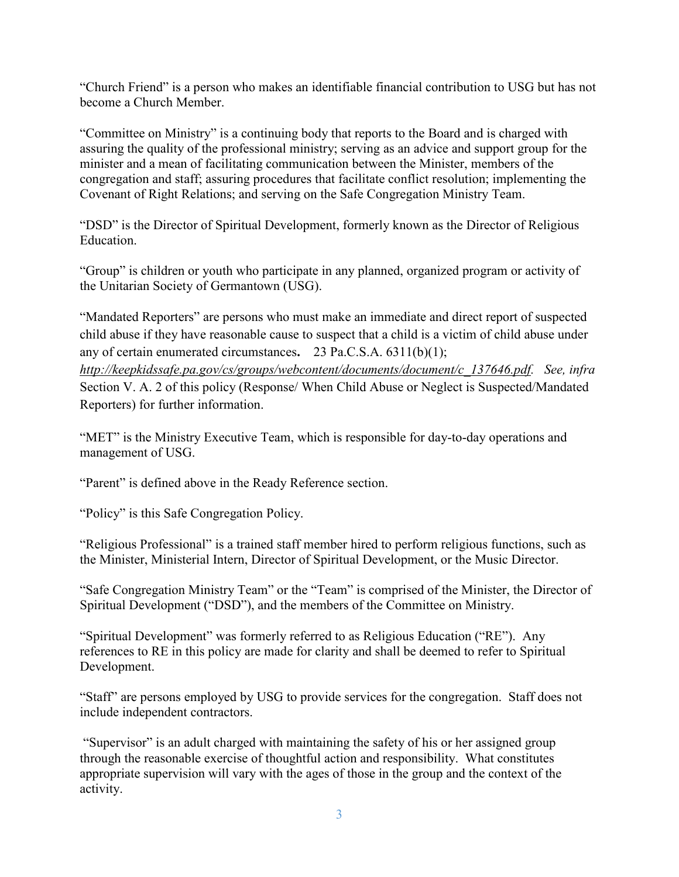"Church Friend" is a person who makes an identifiable financial contribution to USG but has not become a Church Member.

"Committee on Ministry" is a continuing body that reports to the Board and is charged with assuring the quality of the professional ministry; serving as an advice and support group for the minister and a mean of facilitating communication between the Minister, members of the congregation and staff; assuring procedures that facilitate conflict resolution; implementing the Covenant of Right Relations; and serving on the Safe Congregation Ministry Team.

"DSD" is the Director of Spiritual Development, formerly known as the Director of Religious Education.

"Group" is children or youth who participate in any planned, organized program or activity of the Unitarian Society of Germantown (USG).

"Mandated Reporters" are persons who must make an immediate and direct report of suspected child abuse if they have reasonable cause to suspect that a child is a victim of child abuse under any of certain enumerated circumstances**.** 23 Pa.C.S.A. 6311(b)(1); *http://keepkidssafe.pa.gov/cs/groups/webcontent/documents/document/c\_137646.pdf. See, infra*  Section V. A. 2 of this policy (Response/ When Child Abuse or Neglect is Suspected/Mandated Reporters) for further information.

"MET" is the Ministry Executive Team, which is responsible for day-to-day operations and management of USG.

"Parent" is defined above in the Ready Reference section.

"Policy" is this Safe Congregation Policy.

"Religious Professional" is a trained staff member hired to perform religious functions, such as the Minister, Ministerial Intern, Director of Spiritual Development, or the Music Director.

"Safe Congregation Ministry Team" or the "Team" is comprised of the Minister, the Director of Spiritual Development ("DSD"), and the members of the Committee on Ministry.

"Spiritual Development" was formerly referred to as Religious Education ("RE"). Any references to RE in this policy are made for clarity and shall be deemed to refer to Spiritual Development.

"Staff" are persons employed by USG to provide services for the congregation. Staff does not include independent contractors.

"Supervisor" is an adult charged with maintaining the safety of his or her assigned group through the reasonable exercise of thoughtful action and responsibility. What constitutes appropriate supervision will vary with the ages of those in the group and the context of the activity.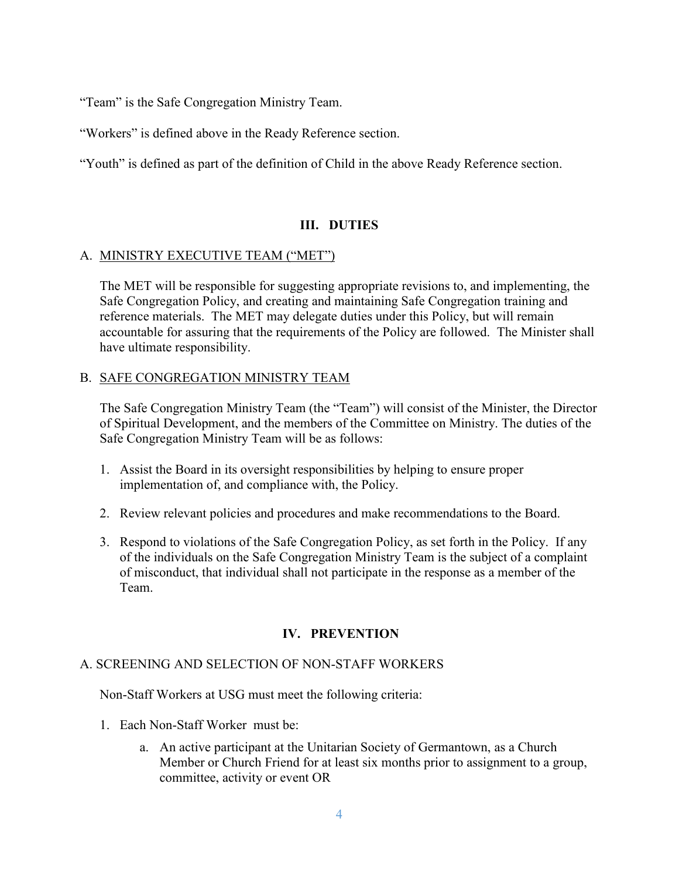"Team" is the Safe Congregation Ministry Team.

"Workers" is defined above in the Ready Reference section.

"Youth" is defined as part of the definition of Child in the above Ready Reference section.

## **III. DUTIES**

#### A. MINISTRY EXECUTIVE TEAM ("MET")

The MET will be responsible for suggesting appropriate revisions to, and implementing, the Safe Congregation Policy, and creating and maintaining Safe Congregation training and reference materials. The MET may delegate duties under this Policy, but will remain accountable for assuring that the requirements of the Policy are followed. The Minister shall have ultimate responsibility.

#### B. SAFE CONGREGATION MINISTRY TEAM

The Safe Congregation Ministry Team (the "Team") will consist of the Minister, the Director of Spiritual Development, and the members of the Committee on Ministry. The duties of the Safe Congregation Ministry Team will be as follows:

- 1. Assist the Board in its oversight responsibilities by helping to ensure proper implementation of, and compliance with, the Policy.
- 2. Review relevant policies and procedures and make recommendations to the Board.
- 3. Respond to violations of the Safe Congregation Policy, as set forth in the Policy. If any of the individuals on the Safe Congregation Ministry Team is the subject of a complaint of misconduct, that individual shall not participate in the response as a member of the Team.

#### **IV. PREVENTION**

#### A. SCREENING AND SELECTION OF NON-STAFF WORKERS

Non-Staff Workers at USG must meet the following criteria:

- 1. Each Non-Staff Worker must be:
	- a. An active participant at the Unitarian Society of Germantown, as a Church Member or Church Friend for at least six months prior to assignment to a group, committee, activity or event OR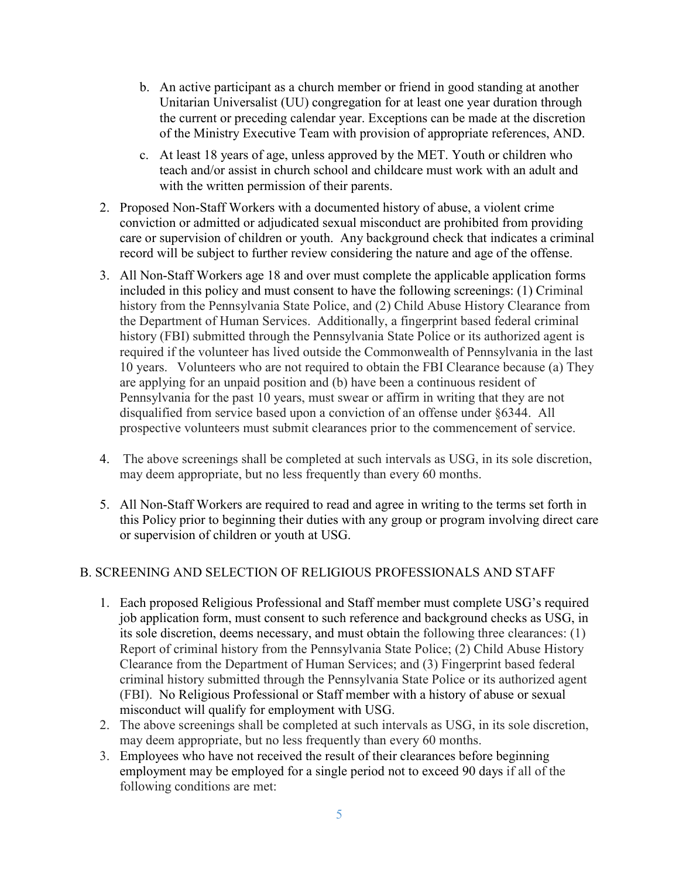- b. An active participant as a church member or friend in good standing at another Unitarian Universalist (UU) congregation for at least one year duration through the current or preceding calendar year. Exceptions can be made at the discretion of the Ministry Executive Team with provision of appropriate references, AND.
- c. At least 18 years of age, unless approved by the MET. Youth or children who teach and/or assist in church school and childcare must work with an adult and with the written permission of their parents.
- 2. Proposed Non-Staff Workers with a documented history of abuse, a violent crime conviction or admitted or adjudicated sexual misconduct are prohibited from providing care or supervision of children or youth. Any background check that indicates a criminal record will be subject to further review considering the nature and age of the offense.
- 3. All Non-Staff Workers age 18 and over must complete the applicable application forms included in this policy and must consent to have the following screenings: (1) Criminal history from the Pennsylvania State Police, and (2) Child Abuse History Clearance from the Department of Human Services. Additionally, a fingerprint based federal criminal history (FBI) submitted through the Pennsylvania State Police or its authorized agent is required if the volunteer has lived outside the Commonwealth of Pennsylvania in the last 10 years. Volunteers who are not required to obtain the FBI Clearance because (a) They are applying for an unpaid position and (b) have been a continuous resident of Pennsylvania for the past 10 years, must swear or affirm in writing that they are not disqualified from service based upon a conviction of an offense under §6344. All prospective volunteers must submit clearances prior to the commencement of service.
- 4. The above screenings shall be completed at such intervals as USG, in its sole discretion, may deem appropriate, but no less frequently than every 60 months.
- 5. All Non-Staff Workers are required to read and agree in writing to the terms set forth in this Policy prior to beginning their duties with any group or program involving direct care or supervision of children or youth at USG.

## B. SCREENING AND SELECTION OF RELIGIOUS PROFESSIONALS AND STAFF

- 1. Each proposed Religious Professional and Staff member must complete USG's required job application form, must consent to such reference and background checks as USG, in its sole discretion, deems necessary, and must obtain the following three clearances: (1) Report of criminal history from the Pennsylvania State Police; (2) Child Abuse History Clearance from the Department of Human Services; and (3) Fingerprint based federal criminal history submitted through the Pennsylvania State Police or its authorized agent (FBI). No Religious Professional or Staff member with a history of abuse or sexual misconduct will qualify for employment with USG.
- 2. The above screenings shall be completed at such intervals as USG, in its sole discretion, may deem appropriate, but no less frequently than every 60 months.
- 3. Employees who have not received the result of their clearances before beginning employment may be employed for a single period not to exceed 90 days if all of the following conditions are met: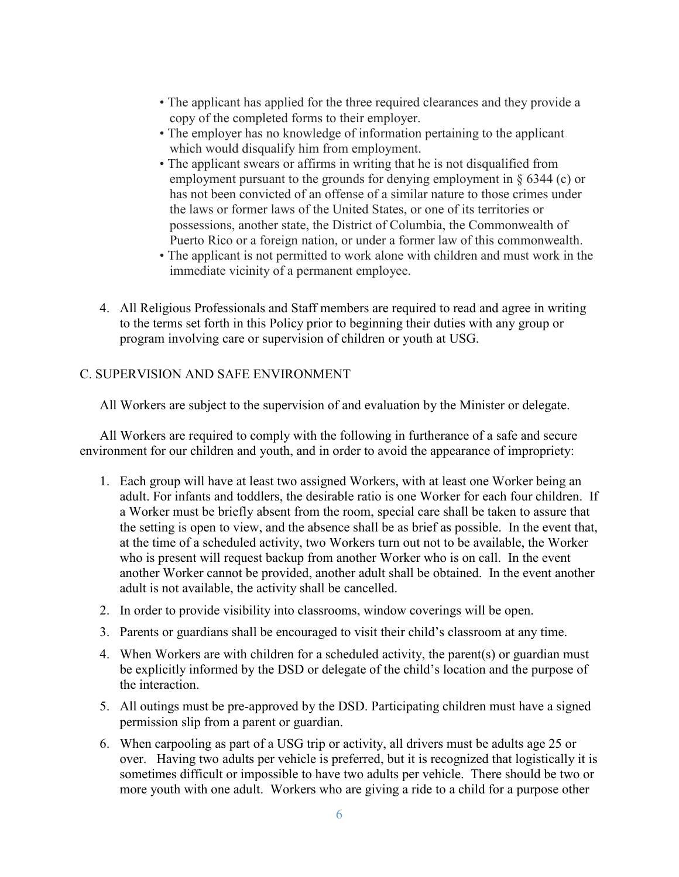- The applicant has applied for the three required clearances and they provide a copy of the completed forms to their employer.
- The employer has no knowledge of information pertaining to the applicant which would disqualify him from employment.
- The applicant swears or affirms in writing that he is not disqualified from employment pursuant to the grounds for denying employment in § 6344 (c) or has not been convicted of an offense of a similar nature to those crimes under the laws or former laws of the United States, or one of its territories or possessions, another state, the District of Columbia, the Commonwealth of Puerto Rico or a foreign nation, or under a former law of this commonwealth.
- The applicant is not permitted to work alone with children and must work in the immediate vicinity of a permanent employee.
- 4. All Religious Professionals and Staff members are required to read and agree in writing to the terms set forth in this Policy prior to beginning their duties with any group or program involving care or supervision of children or youth at USG.

#### C. SUPERVISION AND SAFE ENVIRONMENT

All Workers are subject to the supervision of and evaluation by the Minister or delegate.

All Workers are required to comply with the following in furtherance of a safe and secure environment for our children and youth, and in order to avoid the appearance of impropriety:

- 1. Each group will have at least two assigned Workers, with at least one Worker being an adult. For infants and toddlers, the desirable ratio is one Worker for each four children. If a Worker must be briefly absent from the room, special care shall be taken to assure that the setting is open to view, and the absence shall be as brief as possible. In the event that, at the time of a scheduled activity, two Workers turn out not to be available, the Worker who is present will request backup from another Worker who is on call. In the event another Worker cannot be provided, another adult shall be obtained. In the event another adult is not available, the activity shall be cancelled.
- 2. In order to provide visibility into classrooms, window coverings will be open.
- 3. Parents or guardians shall be encouraged to visit their child's classroom at any time.
- 4. When Workers are with children for a scheduled activity, the parent(s) or guardian must be explicitly informed by the DSD or delegate of the child's location and the purpose of the interaction.
- 5. All outings must be pre-approved by the DSD. Participating children must have a signed permission slip from a parent or guardian.
- 6. When carpooling as part of a USG trip or activity, all drivers must be adults age 25 or over. Having two adults per vehicle is preferred, but it is recognized that logistically it is sometimes difficult or impossible to have two adults per vehicle. There should be two or more youth with one adult. Workers who are giving a ride to a child for a purpose other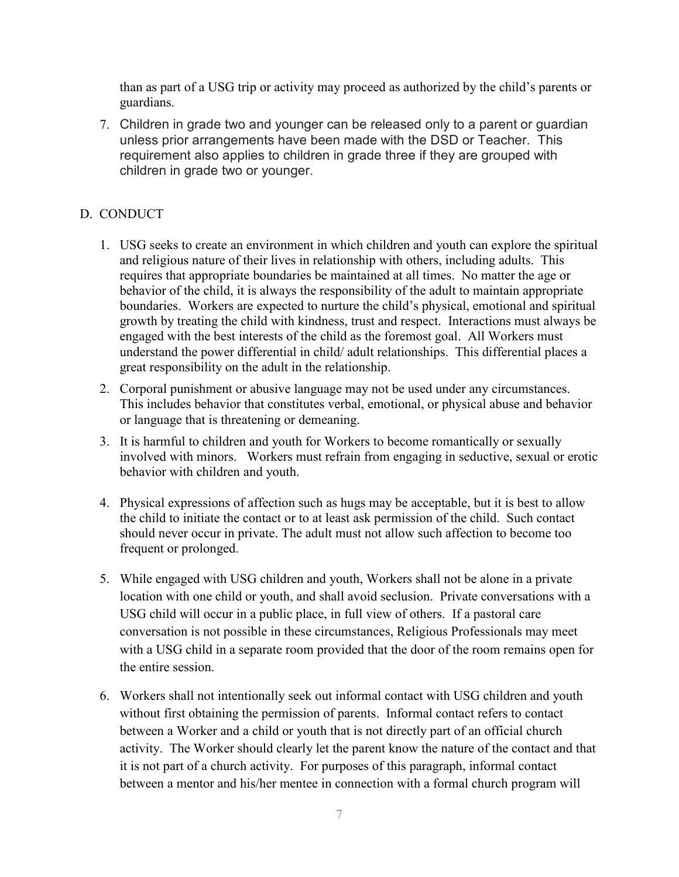than as part of a USG trip or activity may proceed as authorized by the child's parents or guardians.

7. Children in grade two and younger can be released only to a parent or guardian unless prior arrangements have been made with the DSD or Teacher. This requirement also applies to children in grade three if they are grouped with children in grade two or younger.

## D. CONDUCT

- 1. USG seeks to create an environment in which children and youth can explore the spiritual and religious nature of their lives in relationship with others, including adults. This requires that appropriate boundaries be maintained at all times. No matter the age or behavior of the child, it is always the responsibility of the adult to maintain appropriate boundaries. Workers are expected to nurture the child's physical, emotional and spiritual growth by treating the child with kindness, trust and respect. Interactions must always be engaged with the best interests of the child as the foremost goal. All Workers must understand the power differential in child/ adult relationships. This differential places a great responsibility on the adult in the relationship.
- 2. Corporal punishment or abusive language may not be used under any circumstances. This includes behavior that constitutes verbal, emotional, or physical abuse and behavior or language that is threatening or demeaning.
- 3. It is harmful to children and youth for Workers to become romantically or sexually involved with minors. Workers must refrain from engaging in seductive, sexual or erotic behavior with children and youth.
- 4. Physical expressions of affection such as hugs may be acceptable, but it is best to allow the child to initiate the contact or to at least ask permission of the child. Such contact should never occur in private. The adult must not allow such affection to become too frequent or prolonged.
- 5. While engaged with USG children and youth, Workers shall not be alone in a private location with one child or youth, and shall avoid seclusion. Private conversations with a USG child will occur in a public place, in full view of others. If a pastoral care conversation is not possible in these circumstances, Religious Professionals may meet with a USG child in a separate room provided that the door of the room remains open for the entire session.
- 6. Workers shall not intentionally seek out informal contact with USG children and youth without first obtaining the permission of parents. Informal contact refers to contact between a Worker and a child or youth that is not directly part of an official church activity. The Worker should clearly let the parent know the nature of the contact and that it is not part of a church activity. For purposes of this paragraph, informal contact between a mentor and his/her mentee in connection with a formal church program will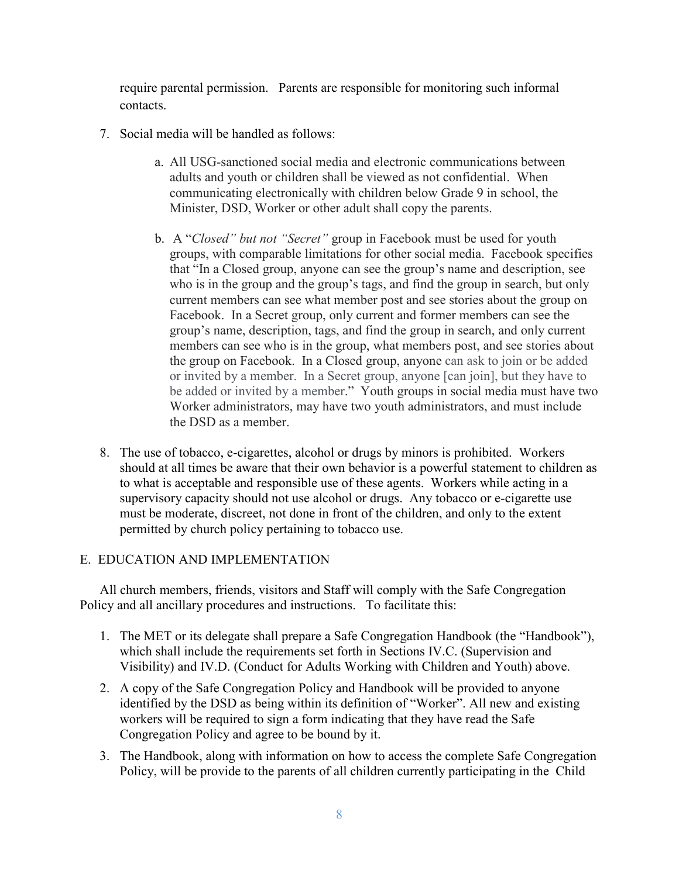require parental permission. Parents are responsible for monitoring such informal contacts.

- 7. Social media will be handled as follows:
	- a. All USG-sanctioned social media and electronic communications between adults and youth or children shall be viewed as not confidential. When communicating electronically with children below Grade 9 in school, the Minister, DSD, Worker or other adult shall copy the parents.
	- b. A "*Closed" but not "Secret"* group in Facebook must be used for youth groups, with comparable limitations for other social media. Facebook specifies that "In a Closed group, anyone can see the group's name and description, see who is in the group and the group's tags, and find the group in search, but only current members can see what member post and see stories about the group on Facebook. In a Secret group, only current and former members can see the group's name, description, tags, and find the group in search, and only current members can see who is in the group, what members post, and see stories about the group on Facebook. In a Closed group, anyone can ask to join or be added or invited by a member. In a Secret group, anyone [can join], but they have to be added or invited by a member." Youth groups in social media must have two Worker administrators, may have two youth administrators, and must include the DSD as a member.
- 8. The use of tobacco, e-cigarettes, alcohol or drugs by minors is prohibited. Workers should at all times be aware that their own behavior is a powerful statement to children as to what is acceptable and responsible use of these agents. Workers while acting in a supervisory capacity should not use alcohol or drugs. Any tobacco or e-cigarette use must be moderate, discreet, not done in front of the children, and only to the extent permitted by church policy pertaining to tobacco use.

## E. EDUCATION AND IMPLEMENTATION

All church members, friends, visitors and Staff will comply with the Safe Congregation Policy and all ancillary procedures and instructions. To facilitate this:

- 1. The MET or its delegate shall prepare a Safe Congregation Handbook (the "Handbook"), which shall include the requirements set forth in Sections IV.C. (Supervision and Visibility) and IV.D. (Conduct for Adults Working with Children and Youth) above.
- 2. A copy of the Safe Congregation Policy and Handbook will be provided to anyone identified by the DSD as being within its definition of "Worker". All new and existing workers will be required to sign a form indicating that they have read the Safe Congregation Policy and agree to be bound by it.
- 3. The Handbook, along with information on how to access the complete Safe Congregation Policy, will be provide to the parents of all children currently participating in the Child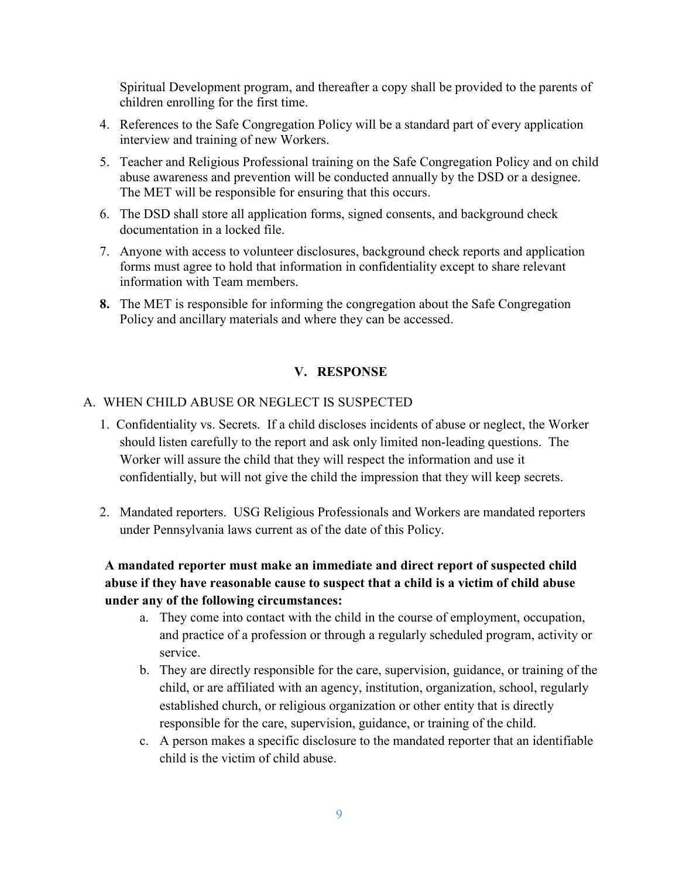Spiritual Development program, and thereafter a copy shall be provided to the parents of children enrolling for the first time.

- 4. References to the Safe Congregation Policy will be a standard part of every application interview and training of new Workers.
- 5. Teacher and Religious Professional training on the Safe Congregation Policy and on child abuse awareness and prevention will be conducted annually by the DSD or a designee. The MET will be responsible for ensuring that this occurs.
- 6. The DSD shall store all application forms, signed consents, and background check documentation in a locked file.
- 7. Anyone with access to volunteer disclosures, background check reports and application forms must agree to hold that information in confidentiality except to share relevant information with Team members.
- **8.** The MET is responsible for informing the congregation about the Safe Congregation Policy and ancillary materials and where they can be accessed.

## **V. RESPONSE**

## A. WHEN CHILD ABUSE OR NEGLECT IS SUSPECTED

- 1. Confidentiality vs. Secrets. If a child discloses incidents of abuse or neglect, the Worker should listen carefully to the report and ask only limited non-leading questions. The Worker will assure the child that they will respect the information and use it confidentially, but will not give the child the impression that they will keep secrets.
- 2. Mandated reporters. USG Religious Professionals and Workers are mandated reporters under Pennsylvania laws current as of the date of this Policy.

## **A mandated reporter must make an immediate and direct report of suspected child abuse if they have reasonable cause to suspect that a child is a victim of child abuse under any of the following circumstances:**

- a. They come into contact with the child in the course of employment, occupation, and practice of a profession or through a regularly scheduled program, activity or service.
- b. They are directly responsible for the care, supervision, guidance, or training of the child, or are affiliated with an agency, institution, organization, school, regularly established church, or religious organization or other entity that is directly responsible for the care, supervision, guidance, or training of the child.
- c. A person makes a specific disclosure to the mandated reporter that an identifiable child is the victim of child abuse.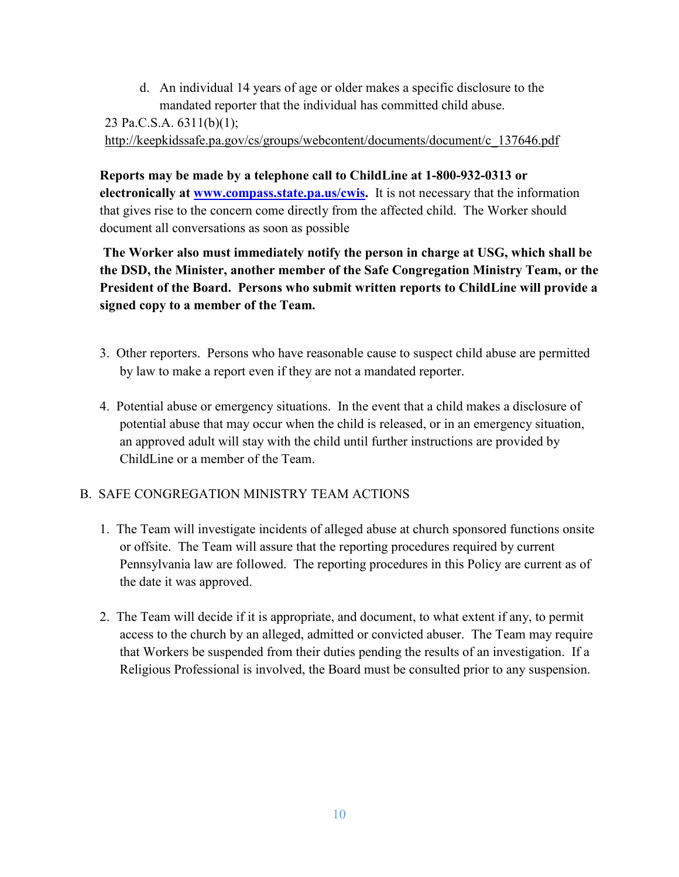d. An individual 14 years of age or older makes a specific disclosure to the mandated reporter that the individual has committed child abuse.

23 Pa.C.S.A. 6311(b)(1);

http://keepkidssafe.pa.gov/cs/groups/webcontent/documents/document/c\_137646.pdf

**Reports may be made by a telephone call to ChildLine at 1-800-932-0313 or electronically at www.compass.state.pa.us/cwis.** It is not necessary that the information that gives rise to the concern come directly from the affected child. The Worker should document all conversations as soon as possible

 **The Worker also must immediately notify the person in charge at USG, which shall be the DSD, the Minister, another member of the Safe Congregation Ministry Team, or the President of the Board. Persons who submit written reports to ChildLine will provide a signed copy to a member of the Team.** 

- 3. Other reporters. Persons who have reasonable cause to suspect child abuse are permitted by law to make a report even if they are not a mandated reporter.
- 4. Potential abuse or emergency situations. In the event that a child makes a disclosure of potential abuse that may occur when the child is released, or in an emergency situation, an approved adult will stay with the child until further instructions are provided by ChildLine or a member of the Team.

## B. SAFE CONGREGATION MINISTRY TEAM ACTIONS

- 1. The Team will investigate incidents of alleged abuse at church sponsored functions onsite or offsite. The Team will assure that the reporting procedures required by current Pennsylvania law are followed. The reporting procedures in this Policy are current as of the date it was approved.
- 2. The Team will decide if it is appropriate, and document, to what extent if any, to permit access to the church by an alleged, admitted or convicted abuser. The Team may require that Workers be suspended from their duties pending the results of an investigation. If a Religious Professional is involved, the Board must be consulted prior to any suspension.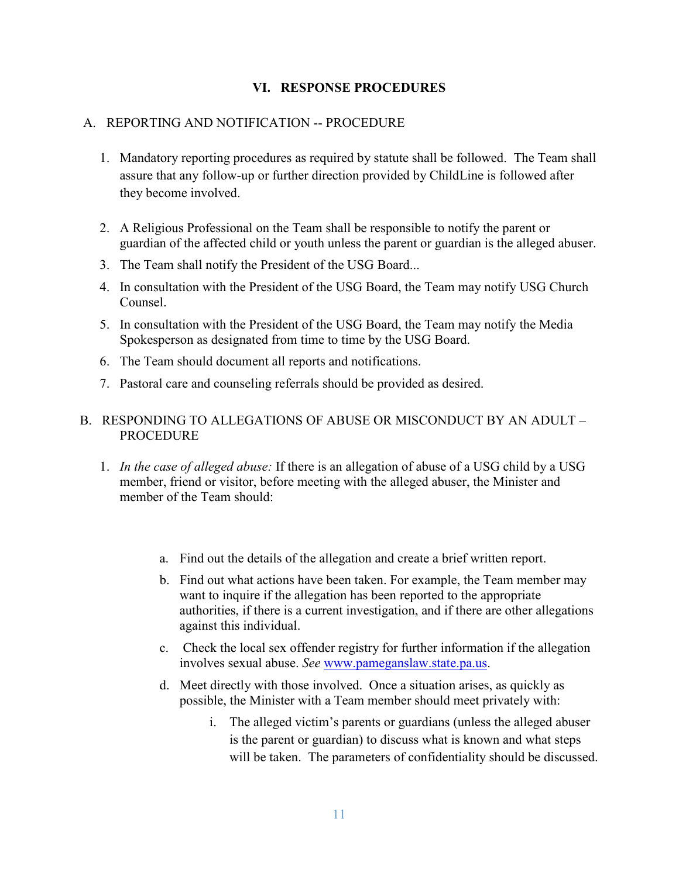#### **VI. RESPONSE PROCEDURES**

#### A. REPORTING AND NOTIFICATION -- PROCEDURE

- 1. Mandatory reporting procedures as required by statute shall be followed. The Team shall assure that any follow-up or further direction provided by ChildLine is followed after they become involved.
- 2. A Religious Professional on the Team shall be responsible to notify the parent or guardian of the affected child or youth unless the parent or guardian is the alleged abuser.
- 3. The Team shall notify the President of the USG Board...
- 4. In consultation with the President of the USG Board, the Team may notify USG Church Counsel.
- 5. In consultation with the President of the USG Board, the Team may notify the Media Spokesperson as designated from time to time by the USG Board.
- 6. The Team should document all reports and notifications.
- 7. Pastoral care and counseling referrals should be provided as desired.

#### B. RESPONDING TO ALLEGATIONS OF ABUSE OR MISCONDUCT BY AN ADULT – **PROCEDURE**

- 1. *In the case of alleged abuse:* If there is an allegation of abuse of a USG child by a USG member, friend or visitor, before meeting with the alleged abuser, the Minister and member of the Team should:
	- a. Find out the details of the allegation and create a brief written report.
	- b. Find out what actions have been taken. For example, the Team member may want to inquire if the allegation has been reported to the appropriate authorities, if there is a current investigation, and if there are other allegations against this individual.
	- c. Check the local sex offender registry for further information if the allegation involves sexual abuse. *See* www.pameganslaw.state.pa.us.
	- d. Meet directly with those involved.Once a situation arises, as quickly as possible, the Minister with a Team member should meet privately with:
		- i. The alleged victim's parents or guardians (unless the alleged abuser is the parent or guardian) to discuss what is known and what steps will be taken. The parameters of confidentiality should be discussed.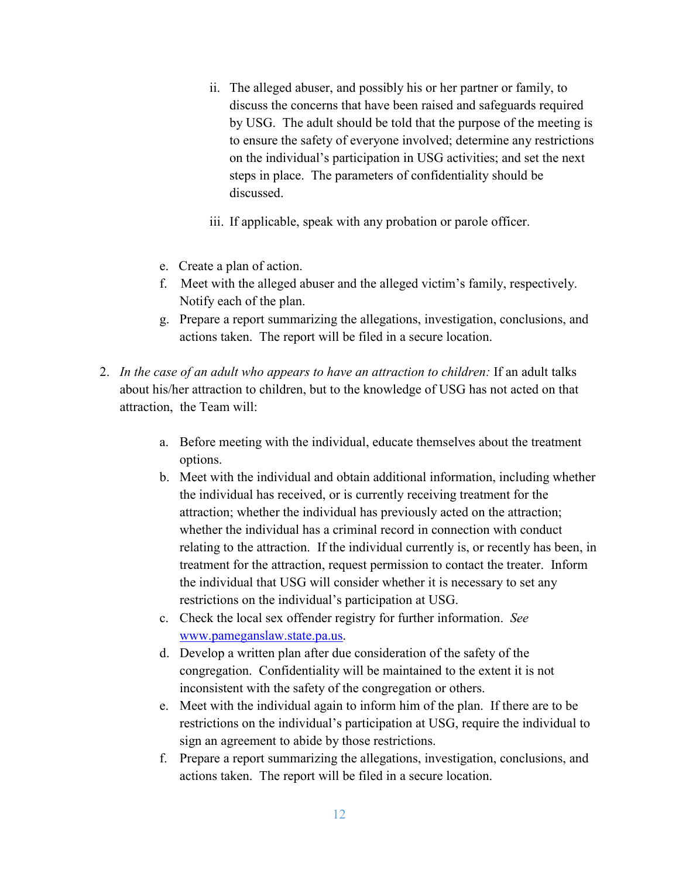- ii. The alleged abuser, and possibly his or her partner or family, to discuss the concerns that have been raised and safeguards required by USG. The adult should be told that the purpose of the meeting is to ensure the safety of everyone involved; determine any restrictions on the individual's participation in USG activities; and set the next steps in place. The parameters of confidentiality should be discussed.
- iii. If applicable, speak with any probation or parole officer.
- e. Create a plan of action.
- f. Meet with the alleged abuser and the alleged victim's family, respectively. Notify each of the plan.
- g. Prepare a report summarizing the allegations, investigation, conclusions, and actions taken. The report will be filed in a secure location.
- 2. *In the case of an adult who appears to have an attraction to children:* If an adult talks about his/her attraction to children, but to the knowledge of USG has not acted on that attraction, the Team will:
	- a. Before meeting with the individual, educate themselves about the treatment options.
	- b. Meet with the individual and obtain additional information, including whether the individual has received, or is currently receiving treatment for the attraction; whether the individual has previously acted on the attraction; whether the individual has a criminal record in connection with conduct relating to the attraction. If the individual currently is, or recently has been, in treatment for the attraction, request permission to contact the treater. Inform the individual that USG will consider whether it is necessary to set any restrictions on the individual's participation at USG.
	- c. Check the local sex offender registry for further information. *See* www.pameganslaw.state.pa.us.
	- d. Develop a written plan after due consideration of the safety of the congregation. Confidentiality will be maintained to the extent it is not inconsistent with the safety of the congregation or others.
	- e. Meet with the individual again to inform him of the plan. If there are to be restrictions on the individual's participation at USG, require the individual to sign an agreement to abide by those restrictions.
	- f. Prepare a report summarizing the allegations, investigation, conclusions, and actions taken. The report will be filed in a secure location.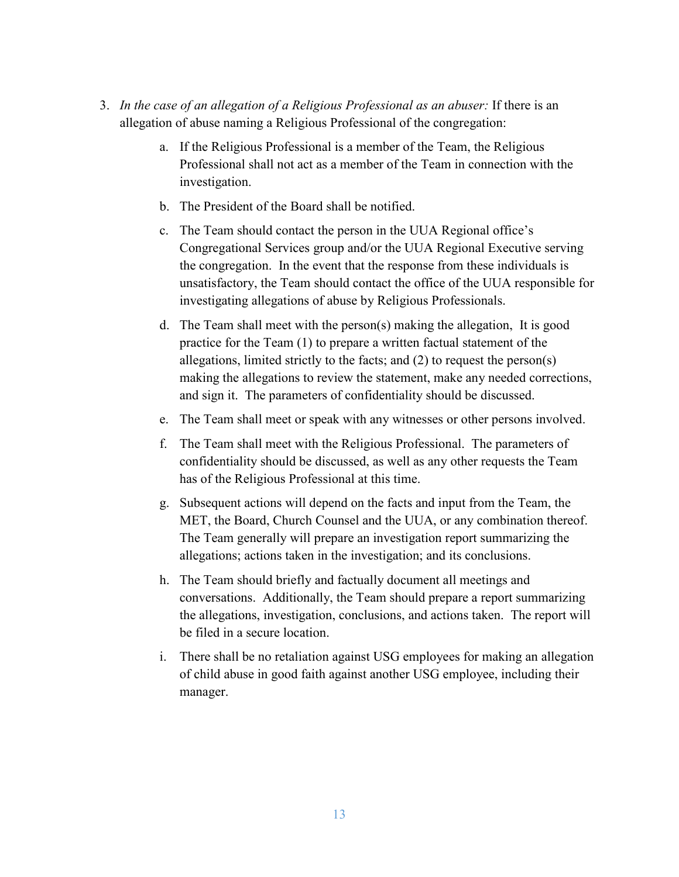- 3. *In the case of an allegation of a Religious Professional as an abuser:* If there is an allegation of abuse naming a Religious Professional of the congregation:
	- a. If the Religious Professional is a member of the Team, the Religious Professional shall not act as a member of the Team in connection with the investigation.
	- b. The President of the Board shall be notified.
	- c. The Team should contact the person in the UUA Regional office's Congregational Services group and/or the UUA Regional Executive serving the congregation. In the event that the response from these individuals is unsatisfactory, the Team should contact the office of the UUA responsible for investigating allegations of abuse by Religious Professionals.
	- d. The Team shall meet with the person(s) making the allegation, It is good practice for the Team (1) to prepare a written factual statement of the allegations, limited strictly to the facts; and (2) to request the person(s) making the allegations to review the statement, make any needed corrections, and sign it. The parameters of confidentiality should be discussed.
	- e. The Team shall meet or speak with any witnesses or other persons involved.
	- f. The Team shall meet with the Religious Professional. The parameters of confidentiality should be discussed, as well as any other requests the Team has of the Religious Professional at this time.
	- g. Subsequent actions will depend on the facts and input from the Team, the MET, the Board, Church Counsel and the UUA, or any combination thereof. The Team generally will prepare an investigation report summarizing the allegations; actions taken in the investigation; and its conclusions.
	- h. The Team should briefly and factually document all meetings and conversations. Additionally, the Team should prepare a report summarizing the allegations, investigation, conclusions, and actions taken. The report will be filed in a secure location.
	- i. There shall be no retaliation against USG employees for making an allegation of child abuse in good faith against another USG employee, including their manager.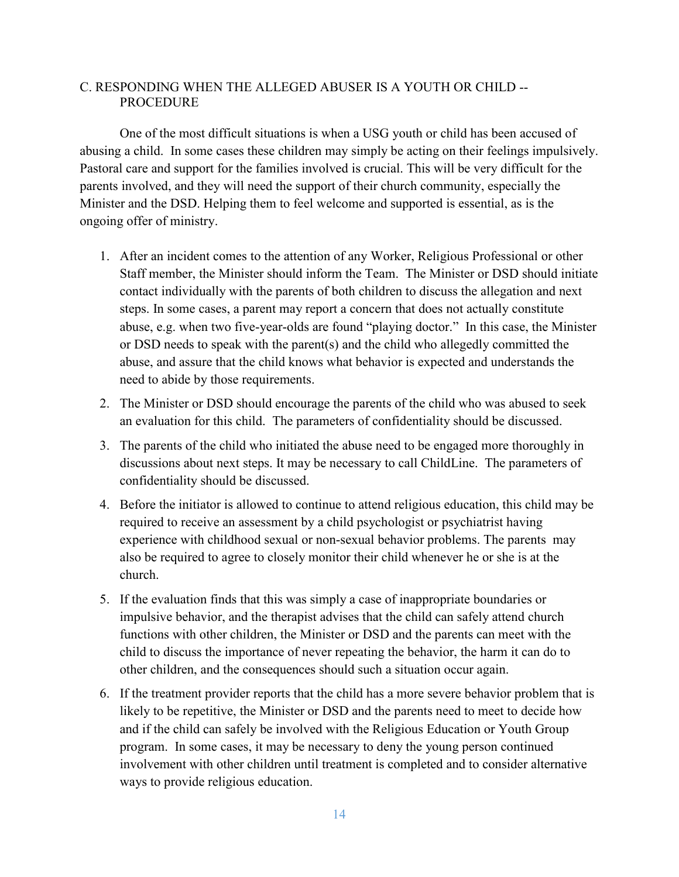## C. RESPONDING WHEN THE ALLEGED ABUSER IS A YOUTH OR CHILD -- **PROCEDURE**

 One of the most difficult situations is when a USG youth or child has been accused of abusing a child. In some cases these children may simply be acting on their feelings impulsively. Pastoral care and support for the families involved is crucial. This will be very difficult for the parents involved, and they will need the support of their church community, especially the Minister and the DSD. Helping them to feel welcome and supported is essential, as is the ongoing offer of ministry.

- 1. After an incident comes to the attention of any Worker, Religious Professional or other Staff member, the Minister should inform the Team. The Minister or DSD should initiate contact individually with the parents of both children to discuss the allegation and next steps. In some cases, a parent may report a concern that does not actually constitute abuse, e.g. when two five-year-olds are found "playing doctor." In this case, the Minister or DSD needs to speak with the parent(s) and the child who allegedly committed the abuse, and assure that the child knows what behavior is expected and understands the need to abide by those requirements.
- 2. The Minister or DSD should encourage the parents of the child who was abused to seek an evaluation for this child. The parameters of confidentiality should be discussed.
- 3. The parents of the child who initiated the abuse need to be engaged more thoroughly in discussions about next steps. It may be necessary to call ChildLine. The parameters of confidentiality should be discussed.
- 4. Before the initiator is allowed to continue to attend religious education, this child may be required to receive an assessment by a child psychologist or psychiatrist having experience with childhood sexual or non-sexual behavior problems. The parents may also be required to agree to closely monitor their child whenever he or she is at the church.
- 5. If the evaluation finds that this was simply a case of inappropriate boundaries or impulsive behavior, and the therapist advises that the child can safely attend church functions with other children, the Minister or DSD and the parents can meet with the child to discuss the importance of never repeating the behavior, the harm it can do to other children, and the consequences should such a situation occur again.
- 6. If the treatment provider reports that the child has a more severe behavior problem that is likely to be repetitive, the Minister or DSD and the parents need to meet to decide how and if the child can safely be involved with the Religious Education or Youth Group program. In some cases, it may be necessary to deny the young person continued involvement with other children until treatment is completed and to consider alternative ways to provide religious education.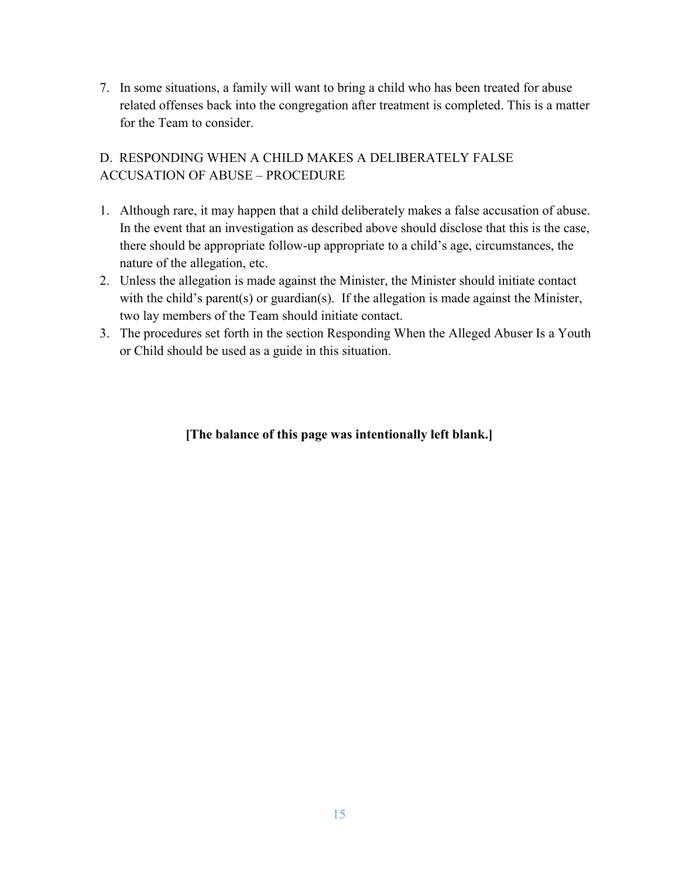7. In some situations, a family will want to bring a child who has been treated for abuse related offenses back into the congregation after treatment is completed. This is a matter for the Team to consider.

## D. RESPONDING WHEN A CHILD MAKES A DELIBERATELY FALSE ACCUSATION OF ABUSE – PROCEDURE

- 1. Although rare, it may happen that a child deliberately makes a false accusation of abuse. In the event that an investigation as described above should disclose that this is the case, there should be appropriate follow-up appropriate to a child's age, circumstances, the nature of the allegation, etc.
- 2. Unless the allegation is made against the Minister, the Minister should initiate contact with the child's parent(s) or guardian(s). If the allegation is made against the Minister, two lay members of the Team should initiate contact.
- 3. The procedures set forth in the section Responding When the Alleged Abuser Is a Youth or Child should be used as a guide in this situation.

## **[The balance of this page was intentionally left blank.]**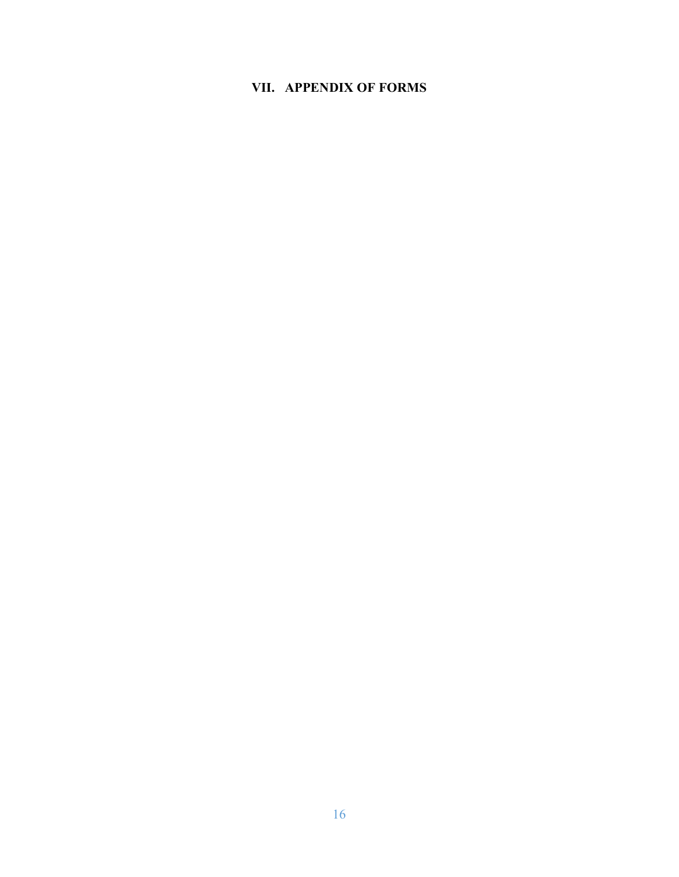## **VII. APPENDIX OF FORMS**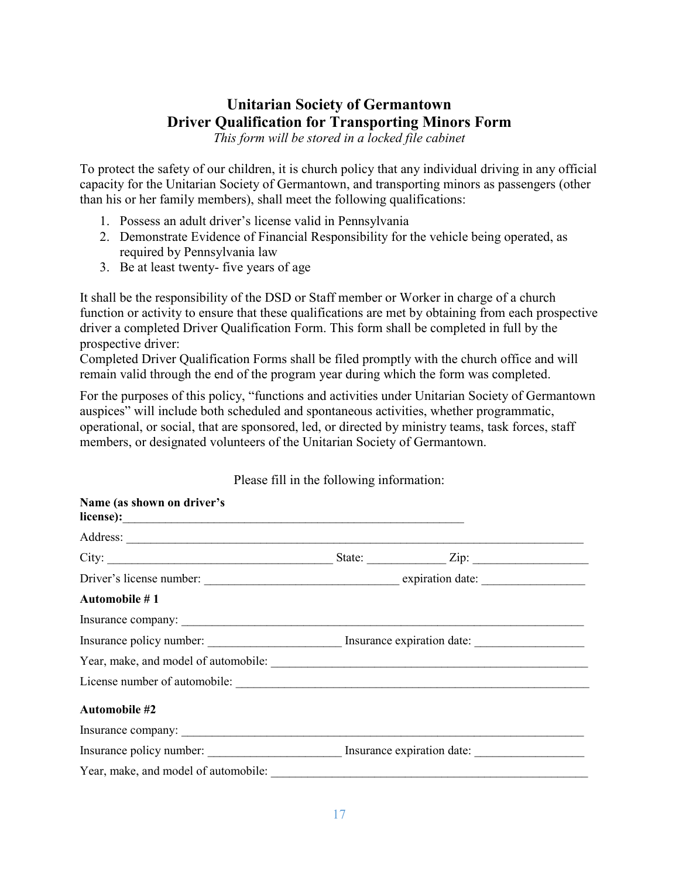# **Unitarian Society of Germantown Driver Qualification for Transporting Minors Form**

*This form will be stored in a locked file cabinet* 

To protect the safety of our children, it is church policy that any individual driving in any official capacity for the Unitarian Society of Germantown, and transporting minors as passengers (other than his or her family members), shall meet the following qualifications:

- 1. Possess an adult driver's license valid in Pennsylvania
- 2. Demonstrate Evidence of Financial Responsibility for the vehicle being operated, as required by Pennsylvania law
- 3. Be at least twenty- five years of age

It shall be the responsibility of the DSD or Staff member or Worker in charge of a church function or activity to ensure that these qualifications are met by obtaining from each prospective driver a completed Driver Qualification Form. This form shall be completed in full by the prospective driver:

Completed Driver Qualification Forms shall be filed promptly with the church office and will remain valid through the end of the program year during which the form was completed.

For the purposes of this policy, "functions and activities under Unitarian Society of Germantown auspices" will include both scheduled and spontaneous activities, whether programmatic, operational, or social, that are sponsored, led, or directed by ministry teams, task forces, staff members, or designated volunteers of the Unitarian Society of Germantown.

| Name (as shown on driver's |                                                     |  |
|----------------------------|-----------------------------------------------------|--|
|                            |                                                     |  |
|                            |                                                     |  |
|                            |                                                     |  |
| Automobile #1              |                                                     |  |
|                            |                                                     |  |
|                            |                                                     |  |
|                            |                                                     |  |
|                            |                                                     |  |
| Automobile #2              |                                                     |  |
|                            |                                                     |  |
|                            | Insurance policy number: Insurance expiration date: |  |
|                            |                                                     |  |

Please fill in the following information: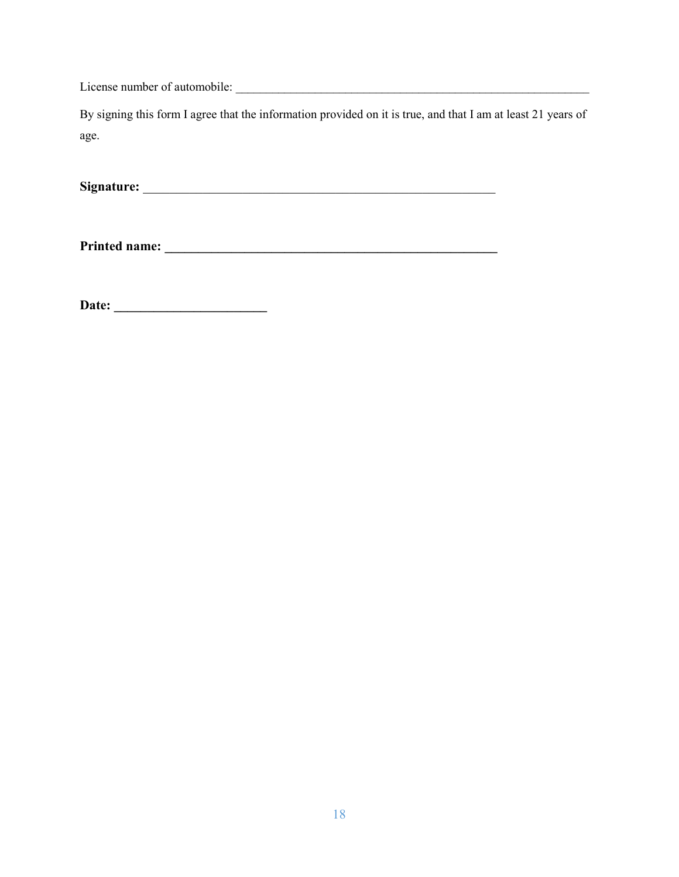License number of automobile: \_\_\_\_\_\_\_\_\_\_\_\_\_\_\_\_\_\_\_\_\_\_\_\_\_\_\_\_\_\_\_\_\_\_\_\_\_\_\_\_\_\_\_\_\_\_\_\_\_\_\_\_\_\_\_\_\_\_

By signing this form I agree that the information provided on it is true, and that I am at least 21 years of age.

**Signature:** \_\_\_\_\_\_\_\_\_\_\_\_\_\_\_\_\_\_\_\_\_\_\_\_\_\_\_\_\_\_\_\_\_\_\_\_\_\_\_\_\_\_\_\_\_\_\_\_\_\_\_\_\_

**Printed name: \_\_\_\_\_\_\_\_\_\_\_\_\_\_\_\_\_\_\_\_\_\_\_\_\_\_\_\_\_\_\_\_\_\_\_\_\_\_\_\_\_\_\_\_\_\_\_\_\_\_** 

**Date: \_\_\_\_\_\_\_\_\_\_\_\_\_\_\_\_\_\_\_\_\_\_\_**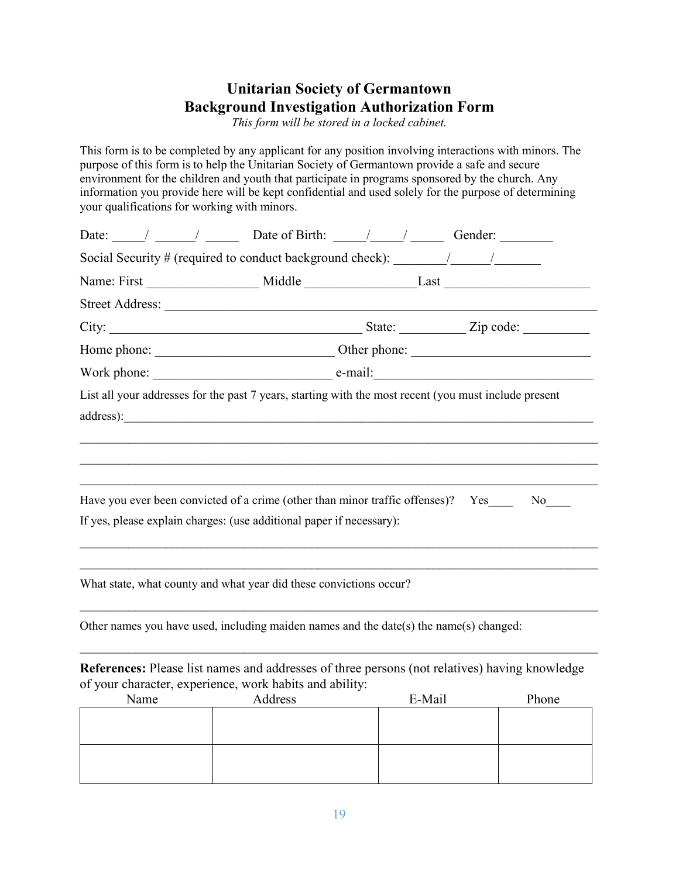# **Unitarian Society of Germantown Background Investigation Authorization Form**

*This form will be stored in a locked cabinet.* 

This form is to be completed by any applicant for any position involving interactions with minors. The purpose of this form is to help the Unitarian Society of Germantown provide a safe and secure environment for the children and youth that participate in programs sponsored by the church. Any information you provide here will be kept confidential and used solely for the purpose of determining your qualifications for working with minors.

|              |                                                                                        | Date: $\frac{1}{\sqrt{2\pi}}$ $\frac{1}{\sqrt{2\pi}}$ Date of Birth: $\frac{1}{\sqrt{2\pi}}$ Gender:                   |
|--------------|----------------------------------------------------------------------------------------|------------------------------------------------------------------------------------------------------------------------|
|              |                                                                                        |                                                                                                                        |
|              |                                                                                        |                                                                                                                        |
|              |                                                                                        |                                                                                                                        |
|              |                                                                                        |                                                                                                                        |
|              |                                                                                        |                                                                                                                        |
|              |                                                                                        |                                                                                                                        |
|              |                                                                                        | List all your addresses for the past 7 years, starting with the most recent (you must include present                  |
|              | If yes, please explain charges: (use additional paper if necessary):                   | Have you ever been convicted of a crime (other than minor traffic offenses)? Yes______ No____                          |
|              | What state, what county and what year did these convictions occur?                     |                                                                                                                        |
|              | Other names you have used, including maiden names and the date(s) the name(s) changed: |                                                                                                                        |
| $\mathbf{M}$ | of your character, experience, work habits and ability:                                | References: Please list names and addresses of three persons (not relatives) having knowledge<br>$\Gamma M$ 1 $\Gamma$ |

| Name | Address | E-Mail | Phone |
|------|---------|--------|-------|
|      |         |        |       |
|      |         |        |       |
|      |         |        |       |
|      |         |        |       |
|      |         |        |       |
|      |         |        |       |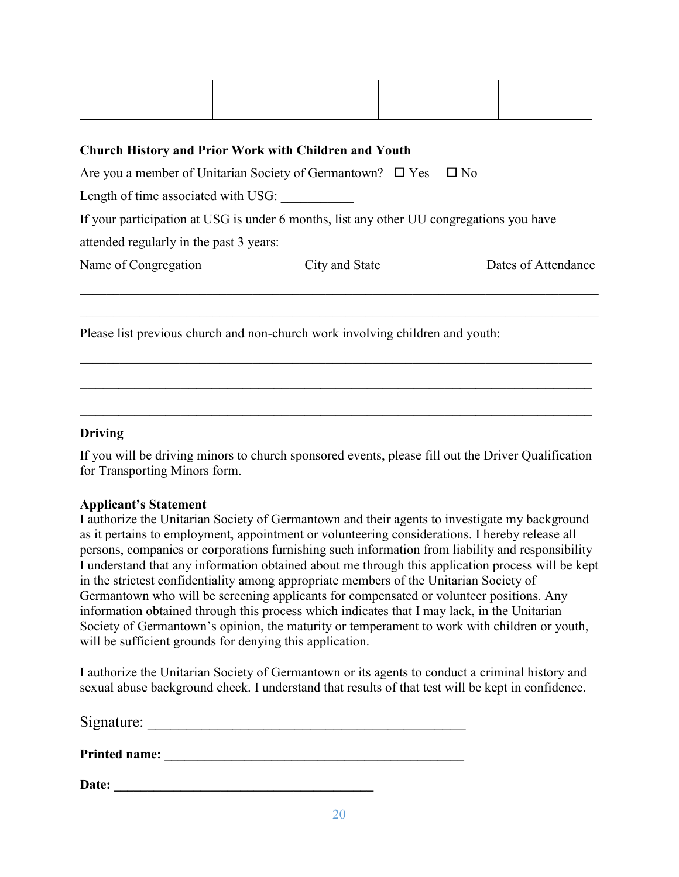| the contract of the contract of the contract of the contract of the contract of the contract of the contract of |  |
|-----------------------------------------------------------------------------------------------------------------|--|
|                                                                                                                 |  |
|                                                                                                                 |  |
|                                                                                                                 |  |
|                                                                                                                 |  |
|                                                                                                                 |  |
|                                                                                                                 |  |
|                                                                                                                 |  |
|                                                                                                                 |  |

# **Church History and Prior Work with Children and Youth**  Are you a member of Unitarian Society of Germantown?  $\Box$  Yes  $\Box$  No Length of time associated with USG: If your participation at USG is under 6 months, list any other UU congregations you have attended regularly in the past 3 years: Name of Congregation City and State Dates of Attendance  $\_$  , and the set of the set of the set of the set of the set of the set of the set of the set of the set of the set of the set of the set of the set of the set of the set of the set of the set of the set of the set of th

Please list previous church and non-church work involving children and youth:

## **Driving**

If you will be driving minors to church sponsored events, please fill out the Driver Qualification for Transporting Minors form.

 $\_$  , and the contribution of the contribution of  $\overline{a}$  , and  $\overline{a}$  , and  $\overline{a}$  , and  $\overline{a}$  , and  $\overline{a}$ 

 $\_$  , and the contribution of the contribution of  $\overline{a}$  , and  $\overline{a}$  , and  $\overline{a}$  , and  $\overline{a}$  , and  $\overline{a}$ 

## **Applicant's Statement**

I authorize the Unitarian Society of Germantown and their agents to investigate my background as it pertains to employment, appointment or volunteering considerations. I hereby release all persons, companies or corporations furnishing such information from liability and responsibility I understand that any information obtained about me through this application process will be kept in the strictest confidentiality among appropriate members of the Unitarian Society of Germantown who will be screening applicants for compensated or volunteer positions. Any information obtained through this process which indicates that I may lack, in the Unitarian Society of Germantown's opinion, the maturity or temperament to work with children or youth, will be sufficient grounds for denying this application.

I authorize the Unitarian Society of Germantown or its agents to conduct a criminal history and sexual abuse background check. I understand that results of that test will be kept in confidence.

| Signature:           |  |  |
|----------------------|--|--|
|                      |  |  |
| <b>Printed name:</b> |  |  |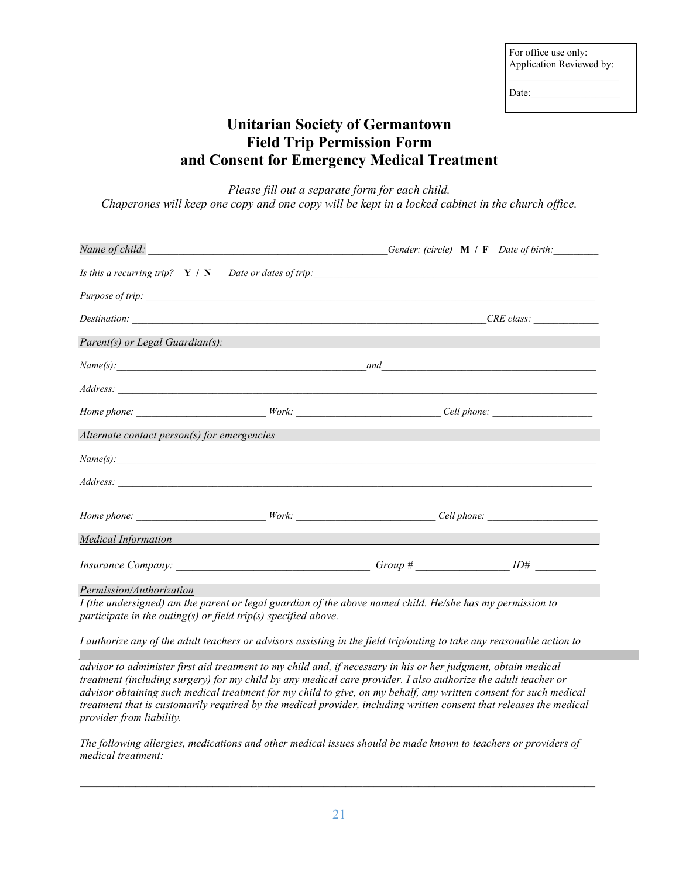| For office use only:     |  |
|--------------------------|--|
| Application Reviewed by: |  |
|                          |  |

Date:

# **Unitarian Society of Germantown Field Trip Permission Form and Consent for Emergency Medical Treatment**

*Please fill out a separate form for each child. Chaperones will keep one copy and one copy will be kept in a locked cabinet in the church office.* 

|                                                                                                                      | Gender: (circle) M / F Date of birth:                                                                                                                                                                                                                                                                                                                             |
|----------------------------------------------------------------------------------------------------------------------|-------------------------------------------------------------------------------------------------------------------------------------------------------------------------------------------------------------------------------------------------------------------------------------------------------------------------------------------------------------------|
|                                                                                                                      |                                                                                                                                                                                                                                                                                                                                                                   |
|                                                                                                                      |                                                                                                                                                                                                                                                                                                                                                                   |
|                                                                                                                      |                                                                                                                                                                                                                                                                                                                                                                   |
|                                                                                                                      |                                                                                                                                                                                                                                                                                                                                                                   |
|                                                                                                                      |                                                                                                                                                                                                                                                                                                                                                                   |
|                                                                                                                      |                                                                                                                                                                                                                                                                                                                                                                   |
|                                                                                                                      |                                                                                                                                                                                                                                                                                                                                                                   |
| <u> Ang Pangalang Pangalang Pangalang Pangalang Pangalang Pangalang Pangalang Pangalang Pangalang Pangalang Pang</u> |                                                                                                                                                                                                                                                                                                                                                                   |
|                                                                                                                      |                                                                                                                                                                                                                                                                                                                                                                   |
|                                                                                                                      |                                                                                                                                                                                                                                                                                                                                                                   |
|                                                                                                                      |                                                                                                                                                                                                                                                                                                                                                                   |
|                                                                                                                      |                                                                                                                                                                                                                                                                                                                                                                   |
|                                                                                                                      |                                                                                                                                                                                                                                                                                                                                                                   |
|                                                                                                                      | Name of child: Name of childs and the state of childs and the state of childs and the state of childs and the state of the state of the state of the state of the state of the state of the state of the state of the state of<br>Is this a recurring trip? $Y / N$ Date or dates of trip:<br>Name(s):<br>Alternate contact person(s) for emergencies<br>Name(s): |

*Permission/Authorization*

*I (the undersigned) am the parent or legal guardian of the above named child. He/she has my permission to participate in the outing(s) or field trip(s) specified above.* 

*I authorize any of the adult teachers or advisors assisting in the field trip/outing to take any reasonable action to protect the safety, health and welfare of my child. In case of a medical emergency, I authorize any adult teacher or* 

*advisor to administer first aid treatment to my child and, if necessary in his or her judgment, obtain medical treatment (including surgery) for my child by any medical care provider. I also authorize the adult teacher or advisor obtaining such medical treatment for my child to give, on my behalf, any written consent for such medical treatment that is customarily required by the medical provider, including written consent that releases the medical provider from liability.* 

*The following allergies, medications and other medical issues should be made known to teachers or providers of medical treatment:* 

*\_\_\_\_\_\_\_\_\_\_\_\_\_\_\_\_\_\_\_\_\_\_\_\_\_\_\_\_\_\_\_\_\_\_\_\_\_\_\_\_\_\_\_\_\_\_\_\_\_\_\_\_\_\_\_\_\_\_\_\_\_\_\_\_\_\_\_\_\_\_\_\_\_\_\_\_\_\_\_\_\_\_\_\_\_\_\_\_\_\_\_\_\_*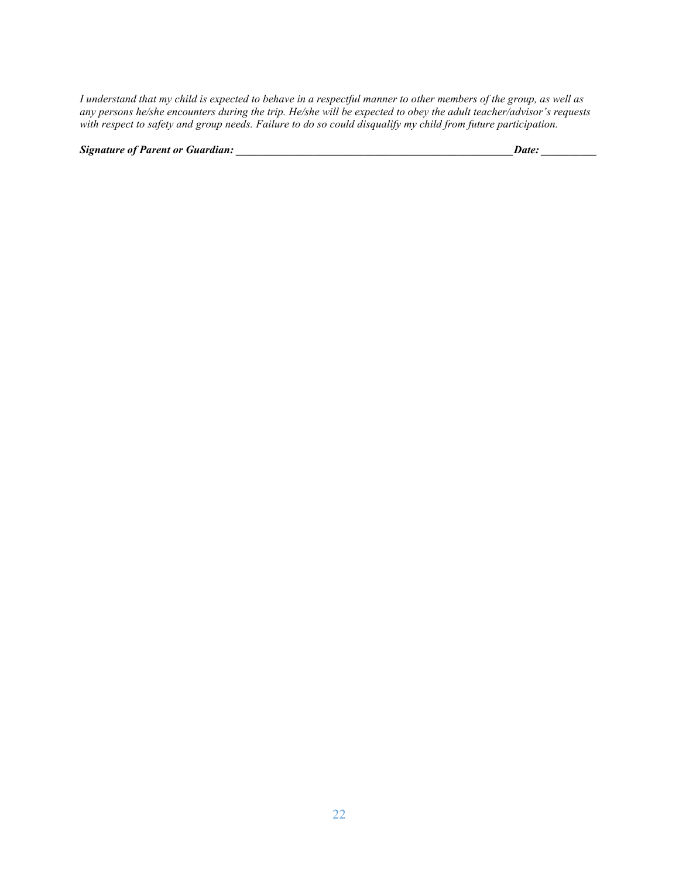*I understand that my child is expected to behave in a respectful manner to other members of the group, as well as any persons he/she encounters during the trip. He/she will be expected to obey the adult teacher/advisor's requests with respect to safety and group needs. Failure to do so could disqualify my child from future participation.* 

*Signature of Parent or Guardian: \_\_\_\_\_\_\_\_\_\_\_\_\_\_\_\_\_\_\_\_\_\_\_\_\_\_\_\_\_\_\_\_\_\_\_\_\_\_\_\_\_\_\_\_\_\_\_\_\_\_Date: \_\_\_\_\_\_\_\_\_\_*